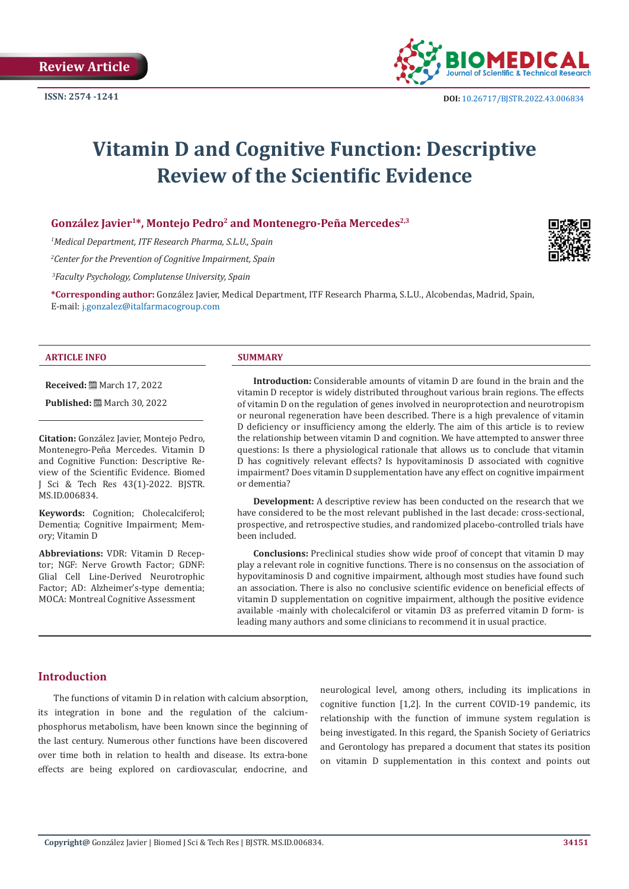

# **Vitamin D and Cognitive Function: Descriptive Review of the Scientific Evidence**

González Javier<sup>1\*</sup>, Montejo Pedro<sup>2</sup> and Montenegro-Peña Mercedes<sup>2,3</sup>

*1 Medical Department, ITF Research Pharma, S.L.U., Spain*

*2 Center for the Prevention of Cognitive Impairment, Spain* 

 *3Faculty Psychology, Complutense University, Spain*

**\*Corresponding author:** González Javier, Medical Department, ITF Research Pharma, S.L.U., Alcobendas, Madrid, Spain, E-mail: j.gonzalez@italfarmacogroup.com

#### **ARTICLE INFO SUMMARY**

**Received:** March 17, 2022

**Published:** ■ March 30, 2022

**Citation:** González Javier, Montejo Pedro, Montenegro-Peña Mercedes. Vitamin D and Cognitive Function: Descriptive Review of the Scientific Evidence. Biomed J Sci & Tech Res 43(1)-2022. BJSTR. MS.ID.006834.

**Keywords:** Cognition; Cholecalciferol; Dementia; Cognitive Impairment; Memory; Vitamin D

**Abbreviations:** VDR: Vitamin D Receptor; NGF: Nerve Growth Factor; GDNF: Glial Cell Line-Derived Neurotrophic Factor; AD: Alzheimer's-type dementia; MOCA: Montreal Cognitive Assessment

**Introduction:** Considerable amounts of vitamin D are found in the brain and the vitamin D receptor is widely distributed throughout various brain regions. The effects of vitamin D on the regulation of genes involved in neuroprotection and neurotropism or neuronal regeneration have been described. There is a high prevalence of vitamin D deficiency or insufficiency among the elderly. The aim of this article is to review the relationship between vitamin D and cognition. We have attempted to answer three questions: Is there a physiological rationale that allows us to conclude that vitamin D has cognitively relevant effects? Is hypovitaminosis D associated with cognitive impairment? Does vitamin D supplementation have any effect on cognitive impairment or dementia?

**Development:** A descriptive review has been conducted on the research that we have considered to be the most relevant published in the last decade: cross-sectional, prospective, and retrospective studies, and randomized placebo-controlled trials have been included.

**Conclusions:** Preclinical studies show wide proof of concept that vitamin D may play a relevant role in cognitive functions. There is no consensus on the association of hypovitaminosis D and cognitive impairment, although most studies have found such an association. There is also no conclusive scientific evidence on beneficial effects of vitamin D supplementation on cognitive impairment, although the positive evidence available -mainly with cholecalciferol or vitamin D3 as preferred vitamin D form- is leading many authors and some clinicians to recommend it in usual practice.

#### **Introduction**

The functions of vitamin D in relation with calcium absorption, its integration in bone and the regulation of the calciumphosphorus metabolism, have been known since the beginning of the last century. Numerous other functions have been discovered over time both in relation to health and disease. Its extra-bone effects are being explored on cardiovascular, endocrine, and

neurological level, among others, including its implications in cognitive function [1,2]. In the current COVID-19 pandemic, its relationship with the function of immune system regulation is being investigated. In this regard, the Spanish Society of Geriatrics and Gerontology has prepared a document that states its position on vitamin D supplementation in this context and points out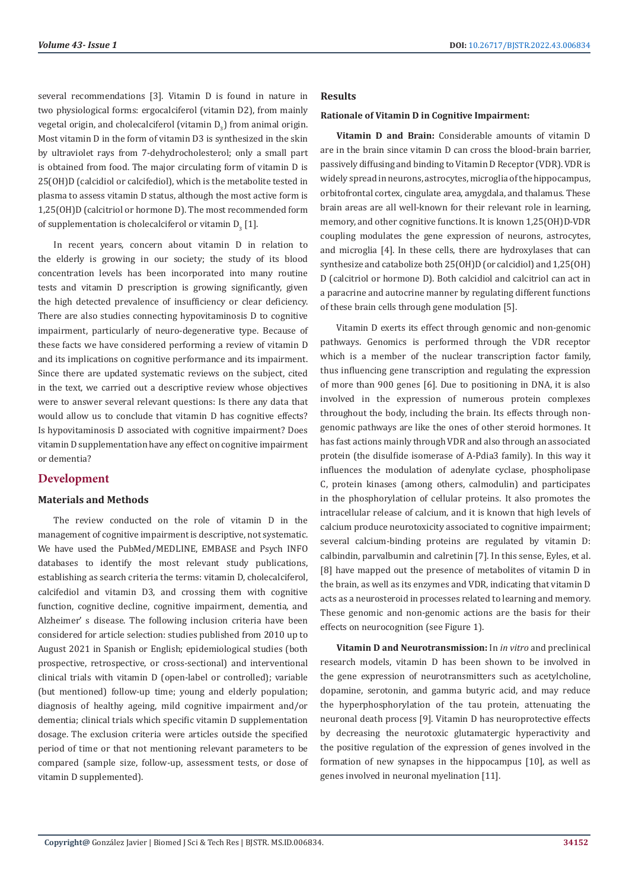several recommendations [3]. Vitamin D is found in nature in two physiological forms: ergocalciferol (vitamin D2), from mainly vegetal origin, and cholecalciferol (vitamin  $D_{3}$ ) from animal origin. Most vitamin D in the form of vitamin D3 is synthesized in the skin by ultraviolet rays from 7-dehydrocholesterol; only a small part is obtained from food. The major circulating form of vitamin D is 25(OH)D (calcidiol or calcifediol), which is the metabolite tested in plasma to assess vitamin D status, although the most active form is 1,25(OH)D (calcitriol or hormone D). The most recommended form of supplementation is cholecalciferol or vitamin  $D_3^{\dagger}$  [1].

In recent years, concern about vitamin D in relation to the elderly is growing in our society; the study of its blood concentration levels has been incorporated into many routine tests and vitamin D prescription is growing significantly, given the high detected prevalence of insufficiency or clear deficiency. There are also studies connecting hypovitaminosis D to cognitive impairment, particularly of neuro-degenerative type. Because of these facts we have considered performing a review of vitamin D and its implications on cognitive performance and its impairment. Since there are updated systematic reviews on the subject, cited in the text, we carried out a descriptive review whose objectives were to answer several relevant questions: Is there any data that would allow us to conclude that vitamin D has cognitive effects? Is hypovitaminosis D associated with cognitive impairment? Does vitamin D supplementation have any effect on cognitive impairment or dementia?

# **Development**

# **Materials and Methods**

The review conducted on the role of vitamin D in the management of cognitive impairment is descriptive, not systematic. We have used the PubMed/MEDLINE, EMBASE and Psych INFO databases to identify the most relevant study publications, establishing as search criteria the terms: vitamin D, cholecalciferol, calcifediol and vitamin D3, and crossing them with cognitive function, cognitive decline, cognitive impairment, dementia, and Alzheimer' s disease. The following inclusion criteria have been considered for article selection: studies published from 2010 up to August 2021 in Spanish or English; epidemiological studies (both prospective, retrospective, or cross-sectional) and interventional clinical trials with vitamin D (open-label or controlled); variable (but mentioned) follow-up time; young and elderly population; diagnosis of healthy ageing, mild cognitive impairment and/or dementia; clinical trials which specific vitamin D supplementation dosage. The exclusion criteria were articles outside the specified period of time or that not mentioning relevant parameters to be compared (sample size, follow-up, assessment tests, or dose of vitamin D supplemented).

#### **Results**

#### **Rationale of Vitamin D in Cognitive Impairment:**

**Vitamin D and Brain:** Considerable amounts of vitamin D are in the brain since vitamin D can cross the blood-brain barrier, passively diffusing and binding to Vitamin D Receptor (VDR). VDR is widely spread in neurons, astrocytes, microglia of the hippocampus, orbitofrontal cortex, cingulate area, amygdala, and thalamus. These brain areas are all well-known for their relevant role in learning, memory, and other cognitive functions. It is known 1,25(OH)D-VDR coupling modulates the gene expression of neurons, astrocytes, and microglia [4]. In these cells, there are hydroxylases that can synthesize and catabolize both 25(OH)D (or calcidiol) and 1,25(OH) D (calcitriol or hormone D). Both calcidiol and calcitriol can act in a paracrine and autocrine manner by regulating different functions of these brain cells through gene modulation [5].

Vitamin D exerts its effect through genomic and non-genomic pathways. Genomics is performed through the VDR receptor which is a member of the nuclear transcription factor family, thus influencing gene transcription and regulating the expression of more than 900 genes [6]. Due to positioning in DNA, it is also involved in the expression of numerous protein complexes throughout the body, including the brain. Its effects through nongenomic pathways are like the ones of other steroid hormones. It has fast actions mainly through VDR and also through an associated protein (the disulfide isomerase of A-Pdia3 family). In this way it influences the modulation of adenylate cyclase, phospholipase C, protein kinases (among others, calmodulin) and participates in the phosphorylation of cellular proteins. It also promotes the intracellular release of calcium, and it is known that high levels of calcium produce neurotoxicity associated to cognitive impairment; several calcium-binding proteins are regulated by vitamin D: calbindin, parvalbumin and calretinin [7]. In this sense, Eyles, et al. [8] have mapped out the presence of metabolites of vitamin D in the brain, as well as its enzymes and VDR, indicating that vitamin D acts as a neurosteroid in processes related to learning and memory. These genomic and non-genomic actions are the basis for their effects on neurocognition (see Figure 1).

**Vitamin D and Neurotransmission:** In *in vitro* and preclinical research models, vitamin D has been shown to be involved in the gene expression of neurotransmitters such as acetylcholine, dopamine, serotonin, and gamma butyric acid, and may reduce the hyperphosphorylation of the tau protein, attenuating the neuronal death process [9]. Vitamin D has neuroprotective effects by decreasing the neurotoxic glutamatergic hyperactivity and the positive regulation of the expression of genes involved in the formation of new synapses in the hippocampus [10], as well as genes involved in neuronal myelination [11].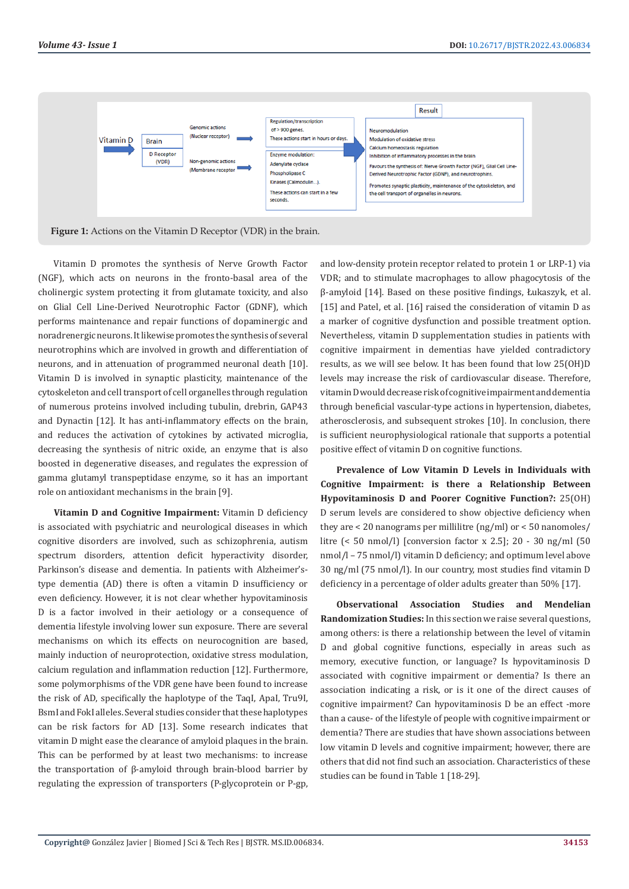

Vitamin D promotes the synthesis of Nerve Growth Factor (NGF), which acts on neurons in the fronto-basal area of the cholinergic system protecting it from glutamate toxicity, and also on Glial Cell Line-Derived Neurotrophic Factor (GDNF), which performs maintenance and repair functions of dopaminergic and noradrenergic neurons. It likewise promotes the synthesis of several neurotrophins which are involved in growth and differentiation of neurons, and in attenuation of programmed neuronal death [10]. Vitamin D is involved in synaptic plasticity, maintenance of the cytoskeleton and cell transport of cell organelles through regulation of numerous proteins involved including tubulin, drebrin, GAP43 and Dynactin [12]. It has anti-inflammatory effects on the brain, and reduces the activation of cytokines by activated microglia, decreasing the synthesis of nitric oxide, an enzyme that is also boosted in degenerative diseases, and regulates the expression of gamma glutamyl transpeptidase enzyme, so it has an important role on antioxidant mechanisms in the brain [9].

**Vitamin D and Cognitive Impairment:** Vitamin D deficiency is associated with psychiatric and neurological diseases in which cognitive disorders are involved, such as schizophrenia, autism spectrum disorders, attention deficit hyperactivity disorder, Parkinson's disease and dementia. In patients with Alzheimer'stype dementia (AD) there is often a vitamin D insufficiency or even deficiency. However, it is not clear whether hypovitaminosis D is a factor involved in their aetiology or a consequence of dementia lifestyle involving lower sun exposure. There are several mechanisms on which its effects on neurocognition are based, mainly induction of neuroprotection, oxidative stress modulation, calcium regulation and inflammation reduction [12]. Furthermore, some polymorphisms of the VDR gene have been found to increase the risk of AD, specifically the haplotype of the TaqI, ApaI, Tru9I, BsmI and FokI alleles. Several studies consider that these haplotypes can be risk factors for AD [13]. Some research indicates that vitamin D might ease the clearance of amyloid plaques in the brain. This can be performed by at least two mechanisms: to increase the transportation of β-amyloid through brain-blood barrier by regulating the expression of transporters (P-glycoprotein or P-gp,

and low-density protein receptor related to protein 1 or LRP-1) via VDR; and to stimulate macrophages to allow phagocytosis of the β-amyloid [14]. Based on these positive findings, Łukaszyk, et al. [15] and Patel, et al. [16] raised the consideration of vitamin D as a marker of cognitive dysfunction and possible treatment option. Nevertheless, vitamin D supplementation studies in patients with cognitive impairment in dementias have yielded contradictory results, as we will see below. It has been found that low 25(OH)D levels may increase the risk of cardiovascular disease. Therefore, vitamin D would decrease risk of cognitive impairment and dementia through beneficial vascular-type actions in hypertension, diabetes, atherosclerosis, and subsequent strokes [10]. In conclusion, there is sufficient neurophysiological rationale that supports a potential positive effect of vitamin D on cognitive functions.

**Prevalence of Low Vitamin D Levels in Individuals with Cognitive Impairment: is there a Relationship Between Hypovitaminosis D and Poorer Cognitive Function?:** 25(OH) D serum levels are considered to show objective deficiency when they are < 20 nanograms per millilitre (ng/ml) or < 50 nanomoles/ litre (< 50 nmol/l) [conversion factor x 2.5]; 20 - 30 ng/ml (50 nmol/l – 75 nmol/l) vitamin D deficiency; and optimum level above 30 ng/ml (75 nmol/l). In our country, most studies find vitamin D deficiency in a percentage of older adults greater than 50% [17].

**Observational Association Studies and Mendelian Randomization Studies:** In this section we raise several questions, among others: is there a relationship between the level of vitamin D and global cognitive functions, especially in areas such as memory, executive function, or language? Is hypovitaminosis D associated with cognitive impairment or dementia? Is there an association indicating a risk, or is it one of the direct causes of cognitive impairment? Can hypovitaminosis D be an effect -more than a cause- of the lifestyle of people with cognitive impairment or dementia? There are studies that have shown associations between low vitamin D levels and cognitive impairment; however, there are others that did not find such an association. Characteristics of these studies can be found in Table 1 [18-29].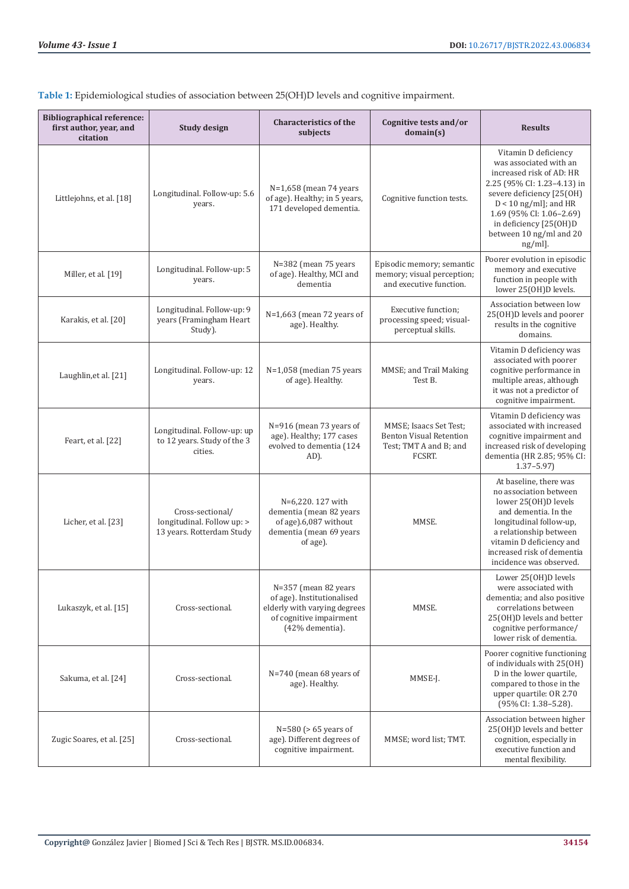| Table 1: Epidemiological studies of association between 25(OH)D levels and cognitive impairment. |  |  |  |  |
|--------------------------------------------------------------------------------------------------|--|--|--|--|
|--------------------------------------------------------------------------------------------------|--|--|--|--|

| <b>Bibliographical reference:</b><br>first author, year, and<br>citation | <b>Study design</b>                                                         | <b>Characteristics of the</b><br>subjects                                                                                        | Cognitive tests and/or<br>domain(s)                                                          | <b>Results</b>                                                                                                                                                                                                                                                  |
|--------------------------------------------------------------------------|-----------------------------------------------------------------------------|----------------------------------------------------------------------------------------------------------------------------------|----------------------------------------------------------------------------------------------|-----------------------------------------------------------------------------------------------------------------------------------------------------------------------------------------------------------------------------------------------------------------|
| Littlejohns, et al. [18]                                                 | Longitudinal. Follow-up: 5.6<br>years.                                      | $N=1,658$ (mean 74 years<br>of age). Healthy; in 5 years,<br>171 developed dementia.                                             | Cognitive function tests.                                                                    | Vitamin D deficiency<br>was associated with an<br>increased risk of AD: HR<br>2.25 (95% CI: 1.23-4.13) in<br>severe deficiency [25(OH)<br>$D < 10$ ng/ml]; and HR<br>1.69 (95% CI: 1.06-2.69)<br>in deficiency [25(OH)D<br>between 10 ng/ml and 20<br>$ng/ml$ . |
| Miller, et al. [19]                                                      | Longitudinal. Follow-up: 5<br>years.                                        | N=382 (mean 75 years<br>of age). Healthy, MCI and<br>dementia                                                                    | Episodic memory; semantic<br>memory; visual perception;<br>and executive function.           | Poorer evolution in episodic<br>memory and executive<br>function in people with<br>lower 25(OH)D levels.                                                                                                                                                        |
| Karakis, et al. [20]                                                     | Longitudinal. Follow-up: 9<br>years (Framingham Heart<br>Study).            | $N=1,663$ (mean 72 years of<br>age). Healthy.                                                                                    | Executive function;<br>processing speed; visual-<br>perceptual skills.                       | Association between low<br>25(OH)D levels and poorer<br>results in the cognitive<br>domains.                                                                                                                                                                    |
| Laughlin, et al. [21]                                                    | Longitudinal. Follow-up: 12<br>years.                                       | $N=1,058$ (median 75 years<br>of age). Healthy.                                                                                  | MMSE; and Trail Making<br>Test B.                                                            | Vitamin D deficiency was<br>associated with poorer<br>cognitive performance in<br>multiple areas, although<br>it was not a predictor of<br>cognitive impairment.                                                                                                |
| Feart, et al. [22]                                                       | Longitudinal. Follow-up: up<br>to 12 years. Study of the 3<br>cities.       | N=916 (mean 73 years of<br>age). Healthy; 177 cases<br>evolved to dementia (124<br>AD).                                          | MMSE; Isaacs Set Test;<br><b>Benton Visual Retention</b><br>Test; TMT A and B; and<br>FCSRT. | Vitamin D deficiency was<br>associated with increased<br>cognitive impairment and<br>increased risk of developing<br>dementia (HR 2.85; 95% CI:<br>$1.37 - 5.97$                                                                                                |
| Licher, et al. [23]                                                      | Cross-sectional/<br>longitudinal. Follow up: ><br>13 years. Rotterdam Study | N=6,220.127 with<br>dementia (mean 82 years<br>of age).6,087 without<br>dementia (mean 69 years<br>of age).                      | MMSE.                                                                                        | At baseline, there was<br>no association between<br>lower 25(OH)D levels<br>and dementia. In the<br>longitudinal follow-up,<br>a relationship between<br>vitamin D deficiency and<br>increased risk of dementia<br>incidence was observed.                      |
| Lukaszyk, et al. [15]                                                    | Cross-sectional.                                                            | N=357 (mean 82 years<br>of age). Institutionalised<br>elderly with varying degrees<br>of cognitive impairment<br>(42% dementia). | MMSE.                                                                                        | Lower 25(OH)D levels<br>were associated with<br>dementia; and also positive<br>correlations between<br>25(OH)D levels and better<br>cognitive performance/<br>lower risk of dementia.                                                                           |
| Sakuma, et al. [24]                                                      | Cross-sectional.                                                            | $N=740$ (mean 68 years of<br>age). Healthy.                                                                                      | MMSE-J.                                                                                      | Poorer cognitive functioning<br>of individuals with 25(OH)<br>D in the lower quartile,<br>compared to those in the<br>upper quartile: OR 2.70<br>(95% CI: 1.38-5.28).                                                                                           |
| Zugic Soares, et al. [25]                                                | Cross-sectional.                                                            | N=580 (> 65 years of<br>age). Different degrees of<br>cognitive impairment.                                                      | MMSE; word list; TMT.                                                                        | Association between higher<br>25(OH)D levels and better<br>cognition, especially in<br>executive function and<br>mental flexibility.                                                                                                                            |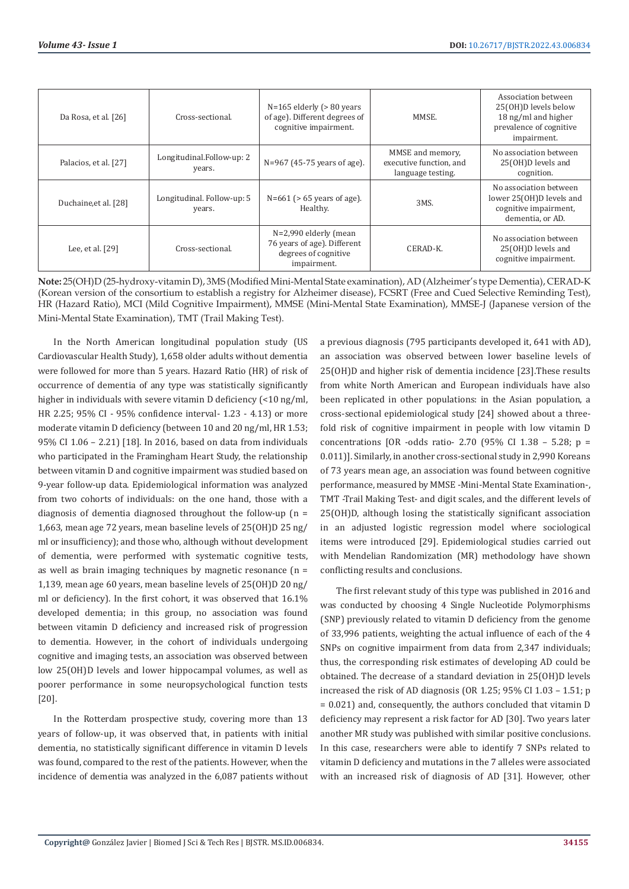| Da Rosa, et al. [26]  | Cross-sectional.                     | $N=165$ elderly ( $> 80$ years<br>of age). Different degrees of<br>cognitive impairment.    | MMSE.                                                            | Association between<br>25(OH)D levels below<br>18 ng/ml and higher<br>prevalence of cognitive<br>impairment. |
|-----------------------|--------------------------------------|---------------------------------------------------------------------------------------------|------------------------------------------------------------------|--------------------------------------------------------------------------------------------------------------|
| Palacios, et al. [27] | Longitudinal.Follow-up: 2<br>years.  | N=967 (45-75 years of age).                                                                 | MMSE and memory,<br>executive function, and<br>language testing. | No association between<br>25(OH)D levels and<br>cognition.                                                   |
| Duchaine, et al. [28] | Longitudinal. Follow-up: 5<br>years. | $N=661$ ( $>65$ years of age).<br>Healthy.                                                  | 3MS.                                                             | No association between<br>lower 25(OH)D levels and<br>cognitive impairment,<br>dementia, or AD.              |
| Lee, et al. $[29]$    | Cross-sectional.                     | N=2,990 elderly (mean<br>76 years of age). Different<br>degrees of cognitive<br>impairment. | CERAD-K.                                                         | No association between<br>25(OH)D levels and<br>cognitive impairment.                                        |

**Note:** 25(OH)D (25-hydroxy-vitamin D), 3MS (Modified Mini-Mental State examination), AD (Alzheimer's type Dementia), CERAD-K (Korean version of the consortium to establish a registry for Alzheimer disease), FCSRT (Free and Cued Selective Reminding Test), HR (Hazard Ratio), MCI (Mild Cognitive Impairment), MMSE (Mini-Mental State Examination), MMSE-J (Japanese version of the Mini-Mental State Examination), TMT (Trail Making Test).

In the North American longitudinal population study (US Cardiovascular Health Study), 1,658 older adults without dementia were followed for more than 5 years. Hazard Ratio (HR) of risk of occurrence of dementia of any type was statistically significantly higher in individuals with severe vitamin D deficiency (<10 ng/ml, HR 2.25; 95% CI - 95% confidence interval- 1.23 - 4.13) or more moderate vitamin D deficiency (between 10 and 20 ng/ml, HR 1.53; 95% CI 1.06 – 2.21) [18]. In 2016, based on data from individuals who participated in the Framingham Heart Study, the relationship between vitamin D and cognitive impairment was studied based on 9-year follow-up data. Epidemiological information was analyzed from two cohorts of individuals: on the one hand, those with a diagnosis of dementia diagnosed throughout the follow-up (n = 1,663, mean age 72 years, mean baseline levels of 25(OH)D 25 ng/ ml or insufficiency); and those who, although without development of dementia, were performed with systematic cognitive tests, as well as brain imaging techniques by magnetic resonance (n = 1,139, mean age 60 years, mean baseline levels of 25(OH)D 20 ng/ ml or deficiency). In the first cohort, it was observed that 16.1% developed dementia; in this group, no association was found between vitamin D deficiency and increased risk of progression to dementia. However, in the cohort of individuals undergoing cognitive and imaging tests, an association was observed between low 25(OH)D levels and lower hippocampal volumes, as well as poorer performance in some neuropsychological function tests [20].

In the Rotterdam prospective study, covering more than 13 years of follow-up, it was observed that, in patients with initial dementia, no statistically significant difference in vitamin D levels was found, compared to the rest of the patients. However, when the incidence of dementia was analyzed in the 6,087 patients without a previous diagnosis (795 participants developed it, 641 with AD), an association was observed between lower baseline levels of 25(OH)D and higher risk of dementia incidence [23].These results from white North American and European individuals have also been replicated in other populations: in the Asian population, a cross-sectional epidemiological study [24] showed about a threefold risk of cognitive impairment in people with low vitamin D concentrations  $OR$  -odds ratio- 2.70 (95% CI 1.38 – 5.28; p = 0.011)]. Similarly, in another cross-sectional study in 2,990 Koreans of 73 years mean age, an association was found between cognitive performance, measured by MMSE -Mini-Mental State Examination-, TMT -Trail Making Test- and digit scales, and the different levels of 25(OH)D, although losing the statistically significant association in an adjusted logistic regression model where sociological items were introduced [29]. Epidemiological studies carried out with Mendelian Randomization (MR) methodology have shown conflicting results and conclusions.

The first relevant study of this type was published in 2016 and was conducted by choosing 4 Single Nucleotide Polymorphisms (SNP) previously related to vitamin D deficiency from the genome of 33,996 patients, weighting the actual influence of each of the 4 SNPs on cognitive impairment from data from 2,347 individuals; thus, the corresponding risk estimates of developing AD could be obtained. The decrease of a standard deviation in 25(OH)D levels increased the risk of AD diagnosis (OR 1.25; 95% CI 1.03 – 1.51; p = 0.021) and, consequently, the authors concluded that vitamin D deficiency may represent a risk factor for AD [30]. Two years later another MR study was published with similar positive conclusions. In this case, researchers were able to identify 7 SNPs related to vitamin D deficiency and mutations in the 7 alleles were associated with an increased risk of diagnosis of AD [31]. However, other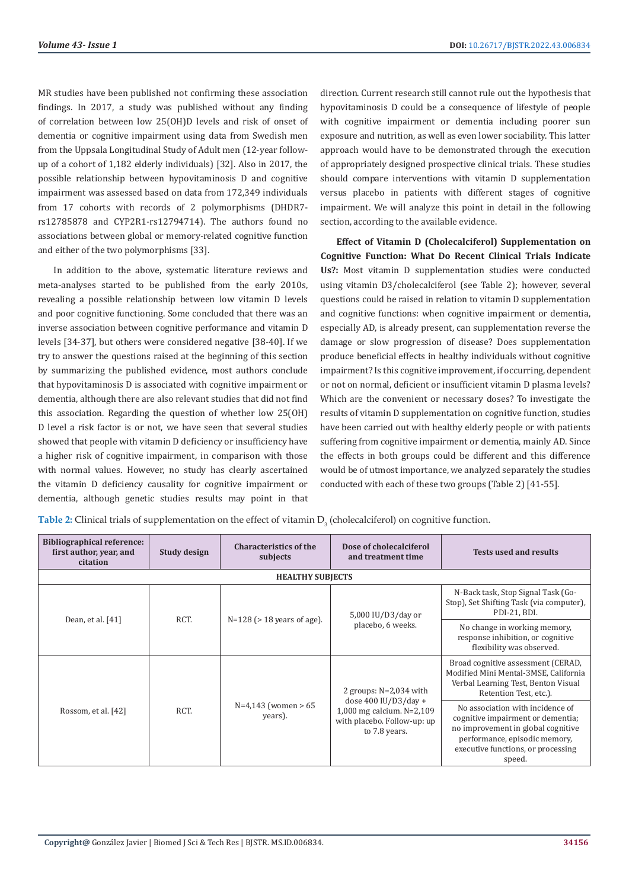MR studies have been published not confirming these association findings. In 2017, a study was published without any finding of correlation between low 25(OH)D levels and risk of onset of dementia or cognitive impairment using data from Swedish men from the Uppsala Longitudinal Study of Adult men (12-year followup of a cohort of 1,182 elderly individuals) [32]. Also in 2017, the possible relationship between hypovitaminosis D and cognitive impairment was assessed based on data from 172,349 individuals from 17 cohorts with records of 2 polymorphisms (DHDR7 rs12785878 and CYP2R1-rs12794714). The authors found no associations between global or memory-related cognitive function and either of the two polymorphisms [33].

In addition to the above, systematic literature reviews and meta-analyses started to be published from the early 2010s, revealing a possible relationship between low vitamin D levels and poor cognitive functioning. Some concluded that there was an inverse association between cognitive performance and vitamin D levels [34-37], but others were considered negative [38-40]. If we try to answer the questions raised at the beginning of this section by summarizing the published evidence, most authors conclude that hypovitaminosis D is associated with cognitive impairment or dementia, although there are also relevant studies that did not find this association. Regarding the question of whether low 25(OH) D level a risk factor is or not, we have seen that several studies showed that people with vitamin D deficiency or insufficiency have a higher risk of cognitive impairment, in comparison with those with normal values. However, no study has clearly ascertained the vitamin D deficiency causality for cognitive impairment or dementia, although genetic studies results may point in that

direction. Current research still cannot rule out the hypothesis that hypovitaminosis D could be a consequence of lifestyle of people with cognitive impairment or dementia including poorer sun exposure and nutrition, as well as even lower sociability. This latter approach would have to be demonstrated through the execution of appropriately designed prospective clinical trials. These studies should compare interventions with vitamin D supplementation versus placebo in patients with different stages of cognitive impairment. We will analyze this point in detail in the following section, according to the available evidence.

**Effect of Vitamin D (Cholecalciferol) Supplementation on Cognitive Function: What Do Recent Clinical Trials Indicate Us?:** Most vitamin D supplementation studies were conducted using vitamin D3/cholecalciferol (see Table 2); however, several questions could be raised in relation to vitamin D supplementation and cognitive functions: when cognitive impairment or dementia, especially AD, is already present, can supplementation reverse the damage or slow progression of disease? Does supplementation produce beneficial effects in healthy individuals without cognitive impairment? Is this cognitive improvement, if occurring, dependent or not on normal, deficient or insufficient vitamin D plasma levels? Which are the convenient or necessary doses? To investigate the results of vitamin D supplementation on cognitive function, studies have been carried out with healthy elderly people or with patients suffering from cognitive impairment or dementia, mainly AD. Since the effects in both groups could be different and this difference would be of utmost importance, we analyzed separately the studies conducted with each of these two groups (Table 2) [41-55].

**Table 2:** Clinical trials of supplementation on the effect of vitamin  $D_3$  (cholecalciferol) on cognitive function.

| <b>Bibliographical reference:</b><br>first author, year, and<br>citation | Study design | <b>Characteristics of the</b><br>subjects | Dose of cholecalciferol<br>and treatment time                                                                                   | <b>Tests used and results</b>                                                                                                                                                                |
|--------------------------------------------------------------------------|--------------|-------------------------------------------|---------------------------------------------------------------------------------------------------------------------------------|----------------------------------------------------------------------------------------------------------------------------------------------------------------------------------------------|
|                                                                          |              | <b>HEALTHY SUBJECTS</b>                   |                                                                                                                                 |                                                                                                                                                                                              |
| Dean, et al. [41]                                                        | RCT.         | $N=128$ ( $>18$ years of age).            | $5,000 \text{ IU} / \text{D}3/\text{day}$ or<br>placebo, 6 weeks.                                                               | N-Back task, Stop Signal Task (Go-<br>Stop), Set Shifting Task (via computer),<br>PDI-21, BDI.                                                                                               |
|                                                                          |              |                                           |                                                                                                                                 | No change in working memory,<br>response inhibition, or cognitive<br>flexibility was observed.                                                                                               |
| Rossom, et al. [42]                                                      | RCT.         | $N=4,143$ (women > 65<br>years).          | 2 groups: $N=2,034$ with<br>dose $400$ IU/D3/day +<br>1,000 mg calcium. N=2,109<br>with placebo. Follow-up: up<br>to 7.8 years. | Broad cognitive assessment (CERAD,<br>Modified Mini Mental-3MSE, California<br>Verbal Learning Test, Benton Visual<br>Retention Test, etc.).                                                 |
|                                                                          |              |                                           |                                                                                                                                 | No association with incidence of<br>cognitive impairment or dementia;<br>no improvement in global cognitive<br>performance, episodic memory,<br>executive functions, or processing<br>speed. |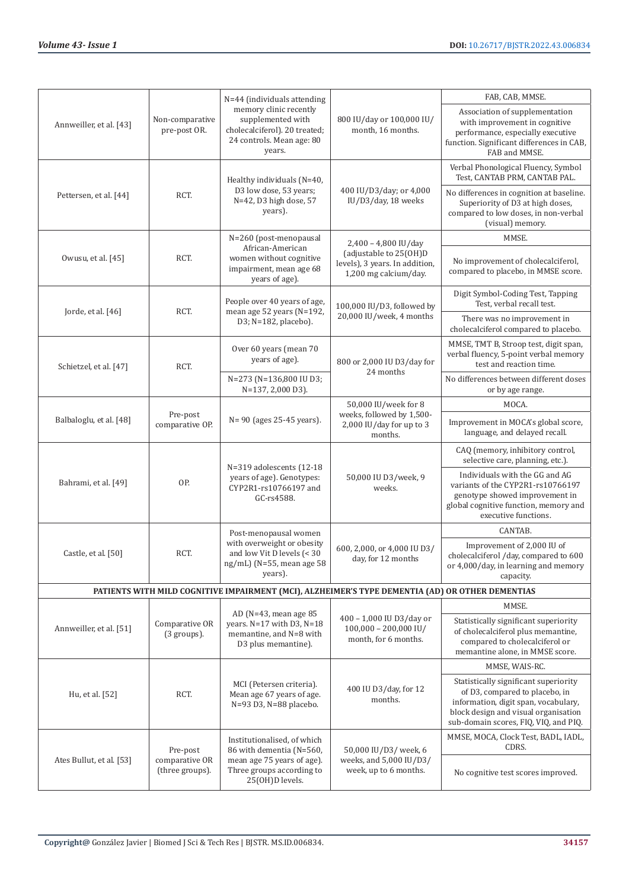|                                                                                                  |                                                                                                               | N=44 (individuals attending<br>memory clinic recently<br>supplemented with<br>cholecalciferol). 20 treated;<br>24 controls. Mean age: 80<br>years. | 800 IU/day or 100,000 IU/<br>month, 16 months.                                           | FAB, CAB, MMSE.                                                                                                                                                                                  |  |  |
|--------------------------------------------------------------------------------------------------|---------------------------------------------------------------------------------------------------------------|----------------------------------------------------------------------------------------------------------------------------------------------------|------------------------------------------------------------------------------------------|--------------------------------------------------------------------------------------------------------------------------------------------------------------------------------------------------|--|--|
| Annweiller, et al. [43]                                                                          | Non-comparative<br>pre-post OR.                                                                               |                                                                                                                                                    |                                                                                          | Association of supplementation<br>with improvement in cognitive<br>performance, especially executive<br>function. Significant differences in CAB,<br>FAB and MMSE.                               |  |  |
|                                                                                                  |                                                                                                               | Healthy individuals (N=40,                                                                                                                         |                                                                                          | Verbal Phonological Fluency, Symbol<br>Test, CANTAB PRM, CANTAB PAL.                                                                                                                             |  |  |
| Pettersen, et al. [44]                                                                           | RCT.                                                                                                          | D3 low dose, 53 years;<br>N=42, D3 high dose, 57<br>years).                                                                                        | 400 IU/D3/day; or 4,000<br>IU/D3/day, 18 weeks                                           | No differences in cognition at baseline.<br>Superiority of D3 at high doses,<br>compared to low doses, in non-verbal<br>(visual) memory.                                                         |  |  |
|                                                                                                  |                                                                                                               | N=260 (post-menopausal                                                                                                                             | 2,400 - 4,800 IU/day                                                                     | MMSE.                                                                                                                                                                                            |  |  |
| Owusu, et al. [45]                                                                               | RCT.                                                                                                          | African-American<br>women without cognitive<br>impairment, mean age 68<br>years of age).                                                           | (adjustable to 25(OH)D<br>levels), 3 years. In addition,<br>1,200 mg calcium/day.        | No improvement of cholecalciferol,<br>compared to placebo, in MMSE score.                                                                                                                        |  |  |
| Jorde, et al. [46]                                                                               | People over 40 years of age,<br>mean age 52 years (N=192,<br>RCT.                                             |                                                                                                                                                    | 100,000 IU/D3, followed by                                                               | Digit Symbol-Coding Test, Tapping<br>Test, verbal recall test.                                                                                                                                   |  |  |
|                                                                                                  |                                                                                                               | D3; N=182, placebo).                                                                                                                               | 20,000 IU/week, 4 months                                                                 | There was no improvement in<br>cholecalciferol compared to placebo.                                                                                                                              |  |  |
| Schietzel, et al. [47]                                                                           | Over 60 years (mean 70<br>years of age).<br>RCT.<br>24 months<br>N=273 (N=136,800 IU D3;<br>N=137, 2,000 D3). |                                                                                                                                                    | 800 or 2,000 IU D3/day for                                                               | MMSE, TMT B, Stroop test, digit span,<br>verbal fluency, 5-point verbal memory<br>test and reaction time.                                                                                        |  |  |
|                                                                                                  |                                                                                                               |                                                                                                                                                    | No differences between different doses<br>or by age range.                               |                                                                                                                                                                                                  |  |  |
|                                                                                                  |                                                                                                               | N= 90 (ages 25-45 years).                                                                                                                          | 50,000 IU/week for 8<br>weeks, followed by 1,500-<br>2,000 IU/day for up to 3<br>months. | MOCA.                                                                                                                                                                                            |  |  |
| Pre-post<br>Balbaloglu, et al. [48]                                                              | comparative OP.                                                                                               |                                                                                                                                                    |                                                                                          | Improvement in MOCA's global score,<br>language, and delayed recall.                                                                                                                             |  |  |
| Bahrami, et al. [49]                                                                             | OP.                                                                                                           | N=319 adolescents (12-18<br>years of age). Genotypes:<br>CYP2R1-rs10766197 and<br>GC-rs4588.                                                       | 50,000 IU D3/week, 9<br>weeks.                                                           | CAQ (memory, inhibitory control,<br>selective care, planning, etc.).                                                                                                                             |  |  |
|                                                                                                  |                                                                                                               |                                                                                                                                                    |                                                                                          | Individuals with the GG and AG<br>variants of the CYP2R1-rs10766197<br>genotype showed improvement in<br>global cognitive function, memory and<br>executive functions.                           |  |  |
|                                                                                                  |                                                                                                               | Post-menopausal women                                                                                                                              |                                                                                          | CANTAB.                                                                                                                                                                                          |  |  |
| Castle, et al. [50]                                                                              | RCT.                                                                                                          | with overweight or obesity<br>and low Vit D levels (< 30<br>ng/mL) (N=55, mean age 58<br>years).                                                   | 600, 2,000, or 4,000 IU D3/<br>day, for 12 months                                        | Improvement of 2,000 IU of<br>cholecalciferol /day, compared to 600<br>or 4,000/day, in learning and memory<br>capacity.                                                                         |  |  |
| PATIENTS WITH MILD COGNITIVE IMPAIRMENT (MCI), ALZHEIMER'S TYPE DEMENTIA (AD) OR OTHER DEMENTIAS |                                                                                                               |                                                                                                                                                    |                                                                                          |                                                                                                                                                                                                  |  |  |
|                                                                                                  |                                                                                                               | AD ( $N=43$ , mean age 85                                                                                                                          |                                                                                          | MMSE.                                                                                                                                                                                            |  |  |
| Annweiller, et al. [51]<br>(3 groups).                                                           | Comparative OR                                                                                                | years. $N=17$ with D3, $N=18$<br>memantine, and N=8 with<br>D3 plus memantine).                                                                    | 400 - 1,000 IU D3/day or<br>$100,000 - 200,000$ IU/<br>month, for 6 months.              | Statistically significant superiority<br>of cholecalciferol plus memantine,<br>compared to cholecalciferol or<br>memantine alone, in MMSE score.                                                 |  |  |
|                                                                                                  |                                                                                                               |                                                                                                                                                    |                                                                                          | MMSE, WAIS-RC.                                                                                                                                                                                   |  |  |
| Hu, et al. [52]                                                                                  | RCT.                                                                                                          | MCI (Petersen criteria).<br>Mean age 67 years of age.<br>N=93 D3, N=88 placebo.                                                                    | 400 IU D3/day, for 12<br>months.                                                         | Statistically significant superiority<br>of D3, compared to placebo, in<br>information, digit span, vocabulary,<br>block design and visual organisation<br>sub-domain scores, FIQ, VIQ, and PIQ. |  |  |
|                                                                                                  | Pre-post<br>comparative OR<br>(three groups).                                                                 | Institutionalised, of which<br>86 with dementia (N=560,<br>mean age 75 years of age).<br>Three groups according to<br>25(OH)D levels.              | 50,000 IU/D3/ week, 6<br>weeks, and 5,000 IU/D3/<br>week, up to 6 months.                | MMSE, MOCA, Clock Test, BADL, IADL,<br>CDRS.                                                                                                                                                     |  |  |
| Ates Bullut, et al. [53]                                                                         |                                                                                                               |                                                                                                                                                    |                                                                                          | No cognitive test scores improved.                                                                                                                                                               |  |  |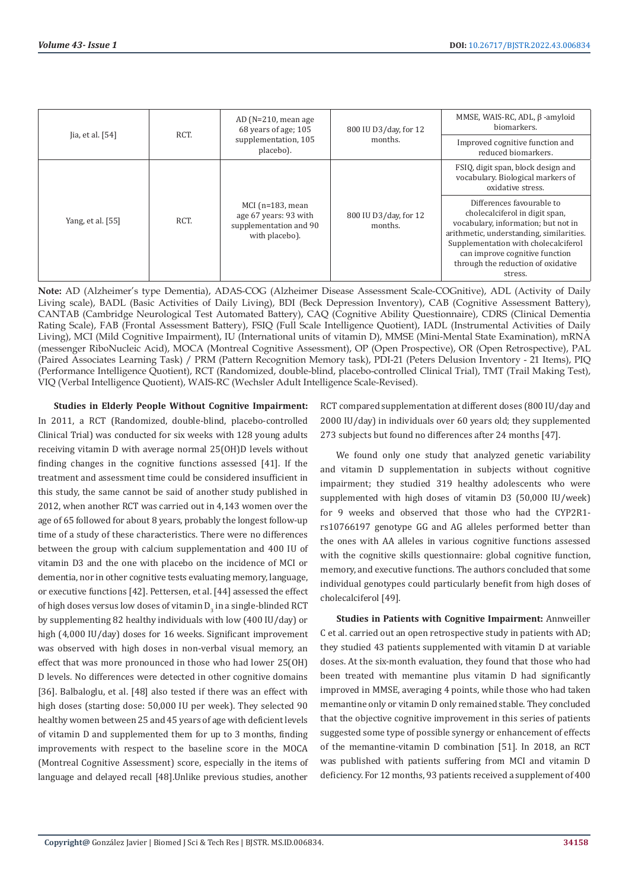| Jia, et al. $[54]$ |      | AD $(N=210)$ , mean age<br>68 years of age; 105<br>supplementation, 105<br>placebo).      | 800 IU D3/day, for 12<br>months. | MMSE, WAIS-RC, ADL, $\beta$ -amyloid<br>biomarkers.                                                                                                                                                                                                                       |
|--------------------|------|-------------------------------------------------------------------------------------------|----------------------------------|---------------------------------------------------------------------------------------------------------------------------------------------------------------------------------------------------------------------------------------------------------------------------|
|                    | RCT. |                                                                                           |                                  | Improved cognitive function and<br>reduced biomarkers.                                                                                                                                                                                                                    |
|                    |      |                                                                                           |                                  | FSIQ, digit span, block design and<br>vocabulary. Biological markers of<br>oxidative stress.                                                                                                                                                                              |
| Yang, et al. [55]  | RCT. | MCI ( $n=183$ , mean<br>age 67 years: 93 with<br>supplementation and 90<br>with placebo). | 800 IU D3/day, for 12<br>months. | Differences favourable to<br>cholecalciferol in digit span.<br>vocabulary, information; but not in<br>arithmetic, understanding, similarities.<br>Supplementation with cholecalciferol<br>can improve cognitive function<br>through the reduction of oxidative<br>stress. |

**Note:** AD (Alzheimer's type Dementia), ADAS-COG (Alzheimer Disease Assessment Scale-COGnitive), ADL (Activity of Daily Living scale), BADL (Basic Activities of Daily Living), BDI (Beck Depression Inventory), CAB (Cognitive Assessment Battery), CANTAB (Cambridge Neurological Test Automated Battery), CAQ (Cognitive Ability Questionnaire), CDRS (Clinical Dementia Rating Scale), FAB (Frontal Assessment Battery), FSIQ (Full Scale Intelligence Quotient), IADL (Instrumental Activities of Daily Living), MCI (Mild Cognitive Impairment), IU (International units of vitamin D), MMSE (Mini-Mental State Examination), mRNA (messenger RiboNucleic Acid), MOCA (Montreal Cognitive Assessment), OP (Open Prospective), OR (Open Retrospective), PAL (Paired Associates Learning Task) / PRM (Pattern Recognition Memory task), PDI-21 (Peters Delusion Inventory - 21 Items), PIQ (Performance Intelligence Quotient), RCT (Randomized, double-blind, placebo-controlled Clinical Trial), TMT (Trail Making Test), VIQ (Verbal Intelligence Quotient), WAIS-RC (Wechsler Adult Intelligence Scale-Revised).

**Studies in Elderly People Without Cognitive Impairment:**  In 2011, a RCT (Randomized, double-blind, placebo-controlled Clinical Trial) was conducted for six weeks with 128 young adults receiving vitamin D with average normal 25(OH)D levels without finding changes in the cognitive functions assessed [41]. If the treatment and assessment time could be considered insufficient in this study, the same cannot be said of another study published in 2012, when another RCT was carried out in 4,143 women over the age of 65 followed for about 8 years, probably the longest follow-up time of a study of these characteristics. There were no differences between the group with calcium supplementation and 400 IU of vitamin D3 and the one with placebo on the incidence of MCI or dementia, nor in other cognitive tests evaluating memory, language, or executive functions [42]. Pettersen, et al. [44] assessed the effect of high doses versus low doses of vitamin  $D_3$  in a single-blinded RCT by supplementing 82 healthy individuals with low (400 IU/day) or high (4,000 IU/day) doses for 16 weeks. Significant improvement was observed with high doses in non-verbal visual memory, an effect that was more pronounced in those who had lower 25(OH) D levels. No differences were detected in other cognitive domains [36]. Balbaloglu, et al. [48] also tested if there was an effect with high doses (starting dose: 50,000 IU per week). They selected 90 healthy women between 25 and 45 years of age with deficient levels of vitamin D and supplemented them for up to 3 months, finding improvements with respect to the baseline score in the MOCA (Montreal Cognitive Assessment) score, especially in the items of language and delayed recall [48].Unlike previous studies, another

RCT compared supplementation at different doses (800 IU/day and 2000 IU/day) in individuals over 60 years old; they supplemented 273 subjects but found no differences after 24 months [47].

We found only one study that analyzed genetic variability and vitamin D supplementation in subjects without cognitive impairment; they studied 319 healthy adolescents who were supplemented with high doses of vitamin D3 (50,000 IU/week) for 9 weeks and observed that those who had the CYP2R1 rs10766197 genotype GG and AG alleles performed better than the ones with AA alleles in various cognitive functions assessed with the cognitive skills questionnaire: global cognitive function, memory, and executive functions. The authors concluded that some individual genotypes could particularly benefit from high doses of cholecalciferol [49].

**Studies in Patients with Cognitive Impairment:** Annweiller C et al. carried out an open retrospective study in patients with AD; they studied 43 patients supplemented with vitamin D at variable doses. At the six-month evaluation, they found that those who had been treated with memantine plus vitamin D had significantly improved in MMSE, averaging 4 points, while those who had taken memantine only or vitamin D only remained stable. They concluded that the objective cognitive improvement in this series of patients suggested some type of possible synergy or enhancement of effects of the memantine-vitamin D combination [51]. In 2018, an RCT was published with patients suffering from MCI and vitamin D deficiency. For 12 months, 93 patients received a supplement of 400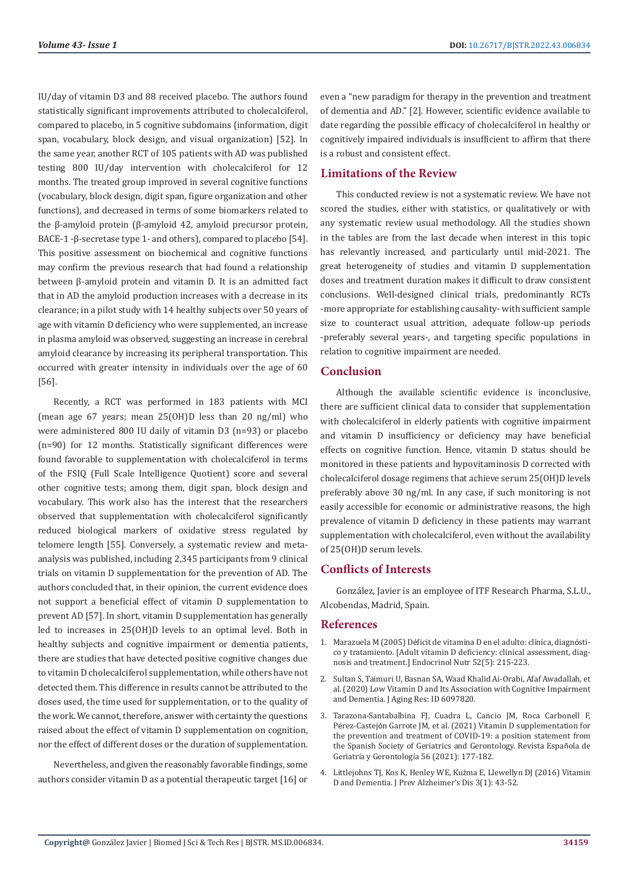IU/day of vitamin D3 and 88 received placebo. The authors found statistically significant improvements attributed to cholecalciferol, compared to placebo, in 5 cognitive subdomains (information, digit span, vocabulary, block design, and visual organization) [52]. In the same year, another RCT of 105 patients with AD was published testing 800 IU/day intervention with cholecalciferol for 12 months. The treated group improved in several cognitive functions (vocabulary, block design, digit span, figure organization and other functions), and decreased in terms of some biomarkers related to the β-amyloid protein (β-amyloid 42, amyloid precursor protein, BACE-1 -β-secretase type 1- and others), compared to placebo [54]. This positive assessment on biochemical and cognitive functions may confirm the previous research that had found a relationship between β-amyloid protein and vitamin D. It is an admitted fact that in AD the amyloid production increases with a decrease in its clearance; in a pilot study with 14 healthy subjects over 50 years of age with vitamin D deficiency who were supplemented, an increase in plasma amyloid was observed, suggesting an increase in cerebral amyloid clearance by increasing its peripheral transportation. This occurred with greater intensity in individuals over the age of 60 [56].

Recently, a RCT was performed in 183 patients with MCI (mean age 67 years; mean 25(OH)D less than 20 ng/ml) who were administered 800 IU daily of vitamin D3 (n=93) or placebo (n=90) for 12 months. Statistically significant differences were found favorable to supplementation with cholecalciferol in terms of the FSIQ (Full Scale Intelligence Quotient) score and several other cognitive tests; among them, digit span, block design and vocabulary. This work also has the interest that the researchers observed that supplementation with cholecalciferol significantly reduced biological markers of oxidative stress regulated by telomere length [55]. Conversely, a systematic review and metaanalysis was published, including 2,345 participants from 9 clinical trials on vitamin D supplementation for the prevention of AD. The authors concluded that, in their opinion, the current evidence does not support a beneficial effect of vitamin D supplementation to prevent AD [57]. In short, vitamin D supplementation has generally led to increases in 25(OH)D levels to an optimal level. Both in healthy subjects and cognitive impairment or dementia patients, there are studies that have detected positive cognitive changes due to vitamin D cholecalciferol supplementation, while others have not detected them. This difference in results cannot be attributed to the doses used, the time used for supplementation, or to the quality of the work. We cannot, therefore, answer with certainty the questions raised about the effect of vitamin D supplementation on cognition, nor the effect of different doses or the duration of supplementation.

Nevertheless, and given the reasonably favorable findings, some authors consider vitamin D as a potential therapeutic target [16] or even a "new paradigm for therapy in the prevention and treatment of dementia and AD." [2]. However, scientific evidence available to date regarding the possible efficacy of cholecalciferol in healthy or cognitively impaired individuals is insufficient to affirm that there is a robust and consistent effect.

# **Limitations of the Review**

This conducted review is not a systematic review. We have not scored the studies, either with statistics, or qualitatively or with any systematic review usual methodology. All the studies shown in the tables are from the last decade when interest in this topic has relevantly increased, and particularly until mid-2021. The great heterogeneity of studies and vitamin D supplementation doses and treatment duration makes it difficult to draw consistent conclusions. Well-designed clinical trials, predominantly RCTs -more appropriate for establishing causality- with sufficient sample size to counteract usual attrition, adequate follow-up periods -preferably several years-, and targeting specific populations in relation to cognitive impairment are needed.

# **Conclusion**

Although the available scientific evidence is inconclusive, there are sufficient clinical data to consider that supplementation with cholecalciferol in elderly patients with cognitive impairment and vitamin D insufficiency or deficiency may have beneficial effects on cognitive function. Hence, vitamin D status should be monitored in these patients and hypovitaminosis D corrected with cholecalciferol dosage regimens that achieve serum 25(OH)D levels preferably above 30 ng/ml. In any case, if such monitoring is not easily accessible for economic or administrative reasons, the high prevalence of vitamin D deficiency in these patients may warrant supplementation with cholecalciferol, even without the availability of 25(OH)D serum levels.

# **Conflicts of Interests**

González, Javier is an employee of ITF Research Pharma, S.L.U., Alcobendas, Madrid, Spain.

# **References**

- 1. Marazuela M (2005) Déficit de vitamina D en el adulto: clínica, diagnóstico y tratamiento. [Adult vitamin D deficiency: clinical assessment, diagnosis and treatment.] Endocrinol Nutr 52(5): 215-223.
- 2. [Sultan S, Taimuri U, Basnan SA, Waad Khalid Ai-Orabi, Afaf Awadallah, et](https://www.hindawi.com/journals/jar/2020/6097820/) [al. \(2020\) Low Vitamin D and Its Association with Cognitive Impairment](https://www.hindawi.com/journals/jar/2020/6097820/) [and Dementia. J Aging Res: ID 6097820.](https://www.hindawi.com/journals/jar/2020/6097820/)
- 3. [Tarazona-Santabalbina FJ, Cuadra L, Cancio JM, Roca Carbonell F,](https://www.binasss.sa.cr/bibliotecas/bhm/covid/35.pdf) Pérez-Castejó[n Garrote JM, et al. \(2021\) Vitamin D supplementation for](https://www.binasss.sa.cr/bibliotecas/bhm/covid/35.pdf) [the prevention and treatment of COVID-19: a position statement from](https://www.binasss.sa.cr/bibliotecas/bhm/covid/35.pdf) [the Spanish Society of Geriatrics and Gerontology. Revista Espa](https://www.binasss.sa.cr/bibliotecas/bhm/covid/35.pdf)ñola de Geriatría y Gerontologí[a 56 \(2021\): 177-182.](https://www.binasss.sa.cr/bibliotecas/bhm/covid/35.pdf)
- 4. [Littlejohns TJ, Kos K, Henley WE, Ku](https://pubmed.ncbi.nlm.nih.gov/29214280/)źma E, Llewellyn DJ (2016) Vitamin [D and Dementia. J Prev Alzheimer's Dis 3\(1\): 43-52.](https://pubmed.ncbi.nlm.nih.gov/29214280/)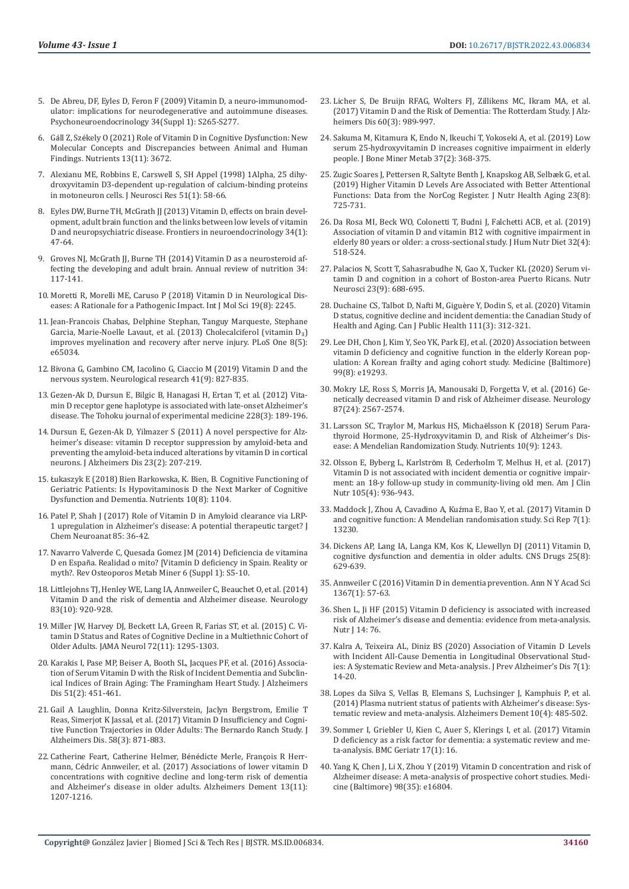- 5. [De Abreu, DF, Eyles D, Feron F \(2009\) Vitamin D, a neuro-immunomod](https://plu.mx/plum/a/?doi=10.1016/j.psyneuen.2009.05.023)[ulator: implications for neurodegenerative and autoimmune diseases.](https://plu.mx/plum/a/?doi=10.1016/j.psyneuen.2009.05.023)  [Psychoneuroendocrinology 34\(Suppl 1\): S265-S277.](https://plu.mx/plum/a/?doi=10.1016/j.psyneuen.2009.05.023)
- 6. Gáll Z, Szé[kely O \(2021\) Role of Vitamin D in Cognitive Dysfunction: New](https://www.ncbi.nlm.nih.gov/pmc/articles/PMC8620681/)  [Molecular Concepts and Discrepancies between Animal and Human](https://www.ncbi.nlm.nih.gov/pmc/articles/PMC8620681/)  [Findings. Nutrients 13\(11\): 3672.](https://www.ncbi.nlm.nih.gov/pmc/articles/PMC8620681/)
- 7. [Alexianu ME, Robbins E, Carswell S, SH Appel \(1998\) 1Alpha, 25 dihy](https://pubmed.ncbi.nlm.nih.gov/9452309/)[droxyvitamin D3-dependent up-regulation of calcium-binding proteins](https://pubmed.ncbi.nlm.nih.gov/9452309/)  [in motoneuron cells. J Neurosci Res 51\(1\): 58-66.](https://pubmed.ncbi.nlm.nih.gov/9452309/)
- 8. [Eyles DW, Burne TH, McGrath JJ \(2013\) Vitamin D, effects on brain devel](https://pubmed.ncbi.nlm.nih.gov/22796576/)[opment, adult brain function and the links between low levels of vitamin](https://pubmed.ncbi.nlm.nih.gov/22796576/)  [D and neuropsychiatric disease. Frontiers in neuroendocrinology 34\(1\):](https://pubmed.ncbi.nlm.nih.gov/22796576/)  [47-64.](https://pubmed.ncbi.nlm.nih.gov/22796576/)
- 9. [Groves NJ, McGrath JJ, Burne TH \(2014\) Vitamin D as a neurosteroid af](https://pubmed.ncbi.nlm.nih.gov/25033060/)[fecting the developing and adult brain. Annual review of nutrition 34:](https://pubmed.ncbi.nlm.nih.gov/25033060/)  [117-141.](https://pubmed.ncbi.nlm.nih.gov/25033060/)
- 10. [Moretti R, Morelli ME, Caruso P \(2018\) Vitamin D in Neurological Dis](https://pubmed.ncbi.nlm.nih.gov/30065237/)[eases: A Rationale for a Pathogenic Impact. Int J Mol Sci 19\(8\): 2245.](https://pubmed.ncbi.nlm.nih.gov/30065237/)
- 11. [Jean-Francois Chabas, Delphine Stephan, Tanguy Marqueste, Stephane](https://pubmed.ncbi.nlm.nih.gov/23741446/)  [Garcia, Marie-Noelle Lavaut, et al. \(2013\) Cholecalciferol \(vitamin D₃\)](https://pubmed.ncbi.nlm.nih.gov/23741446/)  [improves myelination and recovery after nerve injury. PLoS One 8\(5\):](https://pubmed.ncbi.nlm.nih.gov/23741446/)  [e65034.](https://pubmed.ncbi.nlm.nih.gov/23741446/)
- 12. [Bivona G, Gambino CM, Iacolino G, Ciaccio M \(2019\) Vitamin D and the](https://pubmed.ncbi.nlm.nih.gov/31142227/)  [nervous system. Neurological research 41\(9\): 827-835.](https://pubmed.ncbi.nlm.nih.gov/31142227/)
- 13. [Gezen-Ak D, Dursun E, Bilgic B, Hanagasi H, Ertan T, et al. \(2012\) Vita](https://pubmed.ncbi.nlm.nih.gov/23076256/)[min D receptor gene haplotype is associated with late-onset Alzheimer's](https://pubmed.ncbi.nlm.nih.gov/23076256/)  [disease. The Tohoku journal of experimental medicine 228\(3\): 189-196.](https://pubmed.ncbi.nlm.nih.gov/23076256/)
- 14. [Dursun E, Gezen-Ak D, Yilmazer S \(2011\) A novel perspective for Alz](https://pubmed.ncbi.nlm.nih.gov/20966550/)[heimer's disease: vitamin D receptor suppression by amyloid-beta and](https://pubmed.ncbi.nlm.nih.gov/20966550/)  [preventing the amyloid-beta induced alterations by vitamin D in cortical](https://pubmed.ncbi.nlm.nih.gov/20966550/)  [neurons. J Alzheimers Dis 23\(2\): 207-219.](https://pubmed.ncbi.nlm.nih.gov/20966550/)
- 15. Ł[ukaszyk E \(2018\) Bien Barkowska, K. Bien, B. Cognitive Functioning of](https://pubmed.ncbi.nlm.nih.gov/30115862/)  [Geriatric Patients: Is Hypovitaminosis D the Next Marker of Cognitive](https://pubmed.ncbi.nlm.nih.gov/30115862/)  [Dysfunction and Dementia. Nutrients 10\(8\): 1104.](https://pubmed.ncbi.nlm.nih.gov/30115862/)
- 16. [Patel P, Shah J \(2017\) Role of Vitamin D in Amyloid clearance via LRP-](https://pubmed.ncbi.nlm.nih.gov/28669880/)[1 upregulation in Alzheimer's disease: A potential therapeutic target? J](https://pubmed.ncbi.nlm.nih.gov/28669880/)  [Chem Neuroanat 85: 36-42.](https://pubmed.ncbi.nlm.nih.gov/28669880/)
- 17. Navarro Valverde C, Quesada Gomez JM (2014) Deficiencia de vitamina D en España. Realidad o mito? [Vitamin D deficiency in Spain. Reality or myth?. Rev Osteoporos Metab Miner 6 (Suppl 1): S5-10.
- 18. [Littlejohns TJ, Henley WE, Lang IA, Annweiler C, Beauchet O, et al. \(2014\)](https://www.ncbi.nlm.nih.gov/pmc/articles/PMC4153851/)  [Vitamin D and the risk of dementia and Alzheimer disease. Neurology](https://www.ncbi.nlm.nih.gov/pmc/articles/PMC4153851/)  [83\(10\): 920-928.](https://www.ncbi.nlm.nih.gov/pmc/articles/PMC4153851/)
- 19. [Miller JW, Harvey DJ, Beckett LA, Green R, Farias ST, et al. \(2015\) C. Vi](https://pubmed.ncbi.nlm.nih.gov/26366714/)[tamin D Status and Rates of Cognitive Decline in a Multiethnic Cohort of](https://pubmed.ncbi.nlm.nih.gov/26366714/)  [Older Adults. JAMA Neurol 72\(11\): 1295-1303.](https://pubmed.ncbi.nlm.nih.gov/26366714/)
- 20. [Karakis I, Pase MP, Beiser A, Booth SL, Jacques PF, et al. \(2016\) Associa](https://pubmed.ncbi.nlm.nih.gov/26890771/)[tion of Serum Vitamin D with the Risk of Incident Dementia and Subclin](https://pubmed.ncbi.nlm.nih.gov/26890771/)[ical Indices of Brain Aging: The Framingham Heart Study. J Alzheimers](https://pubmed.ncbi.nlm.nih.gov/26890771/)  [Dis 51\(2\): 451-461.](https://pubmed.ncbi.nlm.nih.gov/26890771/)
- 21. [Gail A Laughlin, Donna Kritz-Silverstein, Jaclyn Bergstrom, Emilie T](https://pubmed.ncbi.nlm.nih.gov/28505973/)  [Reas, Simerjot K Jassal, et al. \(2017\) Vitamin D Insufficiency and Cogni](https://pubmed.ncbi.nlm.nih.gov/28505973/)[tive Function Trajectories in Older Adults: The Bernardo Ranch Study. J](https://pubmed.ncbi.nlm.nih.gov/28505973/)  [Alzheimers Dis. 58\(3\): 871-883.](https://pubmed.ncbi.nlm.nih.gov/28505973/)
- 22. [Catherine Feart, Catherine Helmer, B](https://pubmed.ncbi.nlm.nih.gov/28522216/)énédicte Merle, François R Herrmann, Cé[dric Annweiler, et al. \(2017\) Associations of lower vitamin D](https://pubmed.ncbi.nlm.nih.gov/28522216/)  [concentrations with cognitive decline and long-term risk of dementia](https://pubmed.ncbi.nlm.nih.gov/28522216/)  [and Alzheimer's disease in older adults. Alzheimers Dement 13\(11\):](https://pubmed.ncbi.nlm.nih.gov/28522216/)  [1207-1216.](https://pubmed.ncbi.nlm.nih.gov/28522216/)
- 23. [Licher S, De Bruijn RFAG, Wolters FJ, Zillikens MC, Ikram MA, et al.](https://pubmed.ncbi.nlm.nih.gov/28984598/) [\(2017\) Vitamin D and the Risk of Dementia: The Rotterdam Study. J Alz](https://pubmed.ncbi.nlm.nih.gov/28984598/)[heimers Dis 60\(3\): 989-997.](https://pubmed.ncbi.nlm.nih.gov/28984598/)
- 24. [Sakuma M, Kitamura K, Endo N, Ikeuchi T, Yokoseki A, et al. \(2019\) Low](https://pubmed.ncbi.nlm.nih.gov/29948345/) [serum 25-hydroxyvitamin D increases cognitive impairment in elderly](https://pubmed.ncbi.nlm.nih.gov/29948345/) [people. J Bone Miner Metab 37\(2\): 368-375.](https://pubmed.ncbi.nlm.nih.gov/29948345/)
- 25. [Zugic Soares J, Pettersen R, Saltyte Benth J, Knapskog AB, Selb](https://pubmed.ncbi.nlm.nih.gov/31560030/)æk G, et al. [\(2019\) Higher Vitamin D Levels Are Associated with Better Attentional](https://pubmed.ncbi.nlm.nih.gov/31560030/) [Functions: Data from the NorCog Register. J Nutr Health Aging 23\(8\):](https://pubmed.ncbi.nlm.nih.gov/31560030/) [725-731.](https://pubmed.ncbi.nlm.nih.gov/31560030/)
- 26. [Da Rosa MI, Beck WO, Colonetti T, Budni J, Falchetti ACB, et al. \(2019\)](https://pubmed.ncbi.nlm.nih.gov/30821057/) [Association of vitamin D and vitamin B12 with cognitive impairment in](https://pubmed.ncbi.nlm.nih.gov/30821057/) [elderly 80 years or older: a cross-sectional study. J Hum Nutr Diet 32\(4\):](https://pubmed.ncbi.nlm.nih.gov/30821057/) [518-524.](https://pubmed.ncbi.nlm.nih.gov/30821057/)
- 27. [Palacios N, Scott T, Sahasrabudhe N, Gao X, Tucker KL \(2020\) Serum vi](https://pubmed.ncbi.nlm.nih.gov/30843772/)[tamin D and cognition in a cohort of Boston-area Puerto Ricans. Nutr](https://pubmed.ncbi.nlm.nih.gov/30843772/) [Neurosci 23\(9\): 688-695.](https://pubmed.ncbi.nlm.nih.gov/30843772/)
- 28. [Duchaine CS, Talbot D, Nafti M, Gigu](https://pubmed.ncbi.nlm.nih.gov/32016921/)ère Y, Dodin S, et al. (2020) Vitamin [D status, cognitive decline and incident dementia: the Canadian Study of](https://pubmed.ncbi.nlm.nih.gov/32016921/) [Health and Aging. Can J Public Health 111\(3\): 312-321.](https://pubmed.ncbi.nlm.nih.gov/32016921/)
- 29. [Lee DH, Chon J, Kim Y, Seo YK, Park EJ, et al. \(2020\) Association between](https://www.ncbi.nlm.nih.gov/pmc/articles/PMC7034713/) [vitamin D deficiency and cognitive function in the elderly Korean pop](https://www.ncbi.nlm.nih.gov/pmc/articles/PMC7034713/)[ulation: A Korean frailty and aging cohort study. Medicine \(Baltimore\)](https://www.ncbi.nlm.nih.gov/pmc/articles/PMC7034713/) [99\(8\): e19293.](https://www.ncbi.nlm.nih.gov/pmc/articles/PMC7034713/)
- 30. [Mokry LE, Ross S, Morris JA, Manousaki D, Forgetta V, et al. \(2016\) Ge](https://pubmed.ncbi.nlm.nih.gov/27856775/)[netically decreased vitamin D and risk of Alzheimer disease. Neurology](https://pubmed.ncbi.nlm.nih.gov/27856775/) [87\(24\): 2567-2574.](https://pubmed.ncbi.nlm.nih.gov/27856775/)
- 31. [Larsson SC, Traylor M, Markus HS, Micha](https://pubmed.ncbi.nlm.nih.gov/30200567/)ëlsson K (2018) Serum Para[thyroid Hormone, 25-Hydroxyvitamin D, and Risk of Alzheimer's Dis](https://pubmed.ncbi.nlm.nih.gov/30200567/)[ease: A Mendelian Randomization Study. Nutrients 10\(9\): 1243.](https://pubmed.ncbi.nlm.nih.gov/30200567/)
- 32. Olsson E, Byberg L, Karlströ[m B, Cederholm T, Melhus H, et al. \(2017\)](https://pubmed.ncbi.nlm.nih.gov/28202477/) [Vitamin D is not associated with incident dementia or cognitive impair](https://pubmed.ncbi.nlm.nih.gov/28202477/)[ment: an 18-y follow-up study in community-living old men. Am J Clin](https://pubmed.ncbi.nlm.nih.gov/28202477/) [Nutr 105\(4\): 936-943.](https://pubmed.ncbi.nlm.nih.gov/28202477/)
- 33. Maddock J, Zhou A, Cavadino A, Kuź[ma E, Bao Y, et al. \(2017\) Vitamin D](https://pubmed.ncbi.nlm.nih.gov/29038561/) [and cognitive function: A Mendelian randomisation study. Sci Rep 7\(1\):](https://pubmed.ncbi.nlm.nih.gov/29038561/) [13230.](https://pubmed.ncbi.nlm.nih.gov/29038561/)
- 34. [Dickens AP, Lang IA, Langa KM, Kos K, Llewellyn DJ \(2011\) Vitamin D,](https://pubmed.ncbi.nlm.nih.gov/21790207/) [cognitive dysfunction and dementia in older adults. CNS Drugs 25\(8\):](https://pubmed.ncbi.nlm.nih.gov/21790207/) [629-639.](https://pubmed.ncbi.nlm.nih.gov/21790207/)
- 35. [Annweiler C \(2016\) Vitamin D in dementia prevention. Ann N Y Acad Sci](https://pubmed.ncbi.nlm.nih.gov/27116242/) [1367\(1\): 57-63.](https://pubmed.ncbi.nlm.nih.gov/27116242/)
- 36. [Shen L, Ji HF \(2015\) Vitamin D deficiency is associated with increased](https://pubmed.ncbi.nlm.nih.gov/26231781/) [risk of Alzheimer's disease and dementia: evidence from meta-analysis.](https://pubmed.ncbi.nlm.nih.gov/26231781/) [Nutr J 14: 76.](https://pubmed.ncbi.nlm.nih.gov/26231781/)
- 37. [Kalra A, Teixeira AL, Diniz BS \(2020\) Association of Vitamin D Levels](https://pubmed.ncbi.nlm.nih.gov/32010921/) [with Incident All-Cause Dementia in Longitudinal Observational Stud](https://pubmed.ncbi.nlm.nih.gov/32010921/)[ies: A Systematic Review and Meta-analysis. J Prev Alzheimer's Dis 7\(1\):](https://pubmed.ncbi.nlm.nih.gov/32010921/) [14-20.](https://pubmed.ncbi.nlm.nih.gov/32010921/)
- 38. [Lopes da Silva S, Vellas B, Elemans S, Luchsinger J, Kamphuis P, et al.](https://pubmed.ncbi.nlm.nih.gov/24144963/) [\(2014\) Plasma nutrient status of patients with Alzheimer's disease: Sys](https://pubmed.ncbi.nlm.nih.gov/24144963/)[tematic review and meta-analysis. Alzheimers Dement 10\(4\): 485-502.](https://pubmed.ncbi.nlm.nih.gov/24144963/)
- 39. [Sommer I, Griebler U, Kien C, Auer S, Klerings I, et al. \(2017\) Vitamin](https://pubmed.ncbi.nlm.nih.gov/28086755/) [D deficiency as a risk factor for dementia: a systematic review and me](https://pubmed.ncbi.nlm.nih.gov/28086755/)[ta-analysis. BMC Geriatr 17\(1\): 16.](https://pubmed.ncbi.nlm.nih.gov/28086755/)
- 40. [Yang K, Chen J, Li X, Zhou Y \(2019\) Vitamin D concentration and risk of](https://pubmed.ncbi.nlm.nih.gov/31464906/) [Alzheimer disease: A meta-analysis of prospective cohort studies. Medi](https://pubmed.ncbi.nlm.nih.gov/31464906/)[cine \(Baltimore\) 98\(35\): e16804.](https://pubmed.ncbi.nlm.nih.gov/31464906/)